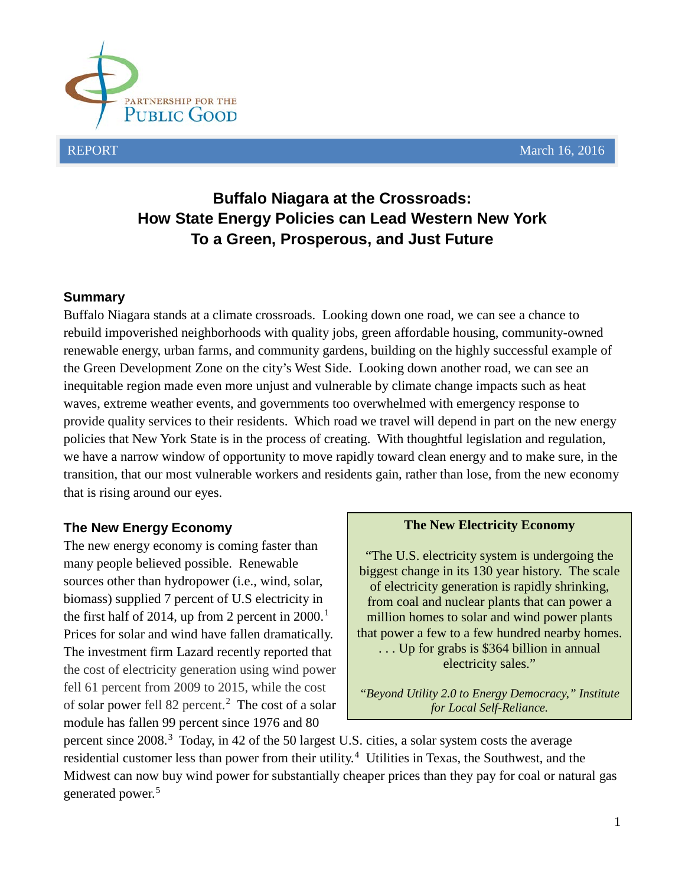

# **Buffalo Niagara at the Crossroads: How State Energy Policies can Lead Western New York To a Green, Prosperous, and Just Future**

### **Summary**

Buffalo Niagara stands at a climate crossroads. Looking down one road, we can see a chance to rebuild impoverished neighborhoods with quality jobs, green affordable housing, community-owned renewable energy, urban farms, and community gardens, building on the highly successful example of the Green Development Zone on the city's West Side. Looking down another road, we can see an inequitable region made even more unjust and vulnerable by climate change impacts such as heat waves, extreme weather events, and governments too overwhelmed with emergency response to provide quality services to their residents. Which road we travel will depend in part on the new energy policies that New York State is in the process of creating. With thoughtful legislation and regulation, we have a narrow window of opportunity to move rapidly toward clean energy and to make sure, in the transition, that our most vulnerable workers and residents gain, rather than lose, from the new economy that is rising around our eyes.

## **The New Energy Economy**

The new energy economy is coming faster than many people believed possible. Renewable sources other than hydropower (i.e., wind, solar, biomass) supplied 7 percent of U.S electricity in the first half of 20[1](#page-7-0)4, up from 2 percent in  $2000$ .<sup>1</sup> Prices for solar and wind have fallen dramatically. The investment firm Lazard recently reported that the cost of electricity generation using wind power fell 61 percent from 2009 to 2015, while the cost of solar power fell 8[2](#page-7-1) percent.<sup>2</sup> The cost of a solar module has fallen 99 percent since 1976 and 80

#### **The New Electricity Economy**

"The U.S. electricity system is undergoing the biggest change in its 130 year history. The scale of electricity generation is rapidly shrinking, from coal and nuclear plants that can power a million homes to solar and wind power plants that power a few to a few hundred nearby homes. . . . Up for grabs is \$364 billion in annual electricity sales."

*"Beyond Utility 2.0 to Energy Democracy," Institute for Local Self-Reliance.*

percent since 2008.<sup>[3](#page-7-2)</sup> Today, in 42 of the 50 largest U.S. cities, a solar system costs the average residential customer less than power from their utility.<sup>[4](#page-7-3)</sup> Utilities in Texas, the Southwest, and the Midwest can now buy wind power for substantially cheaper prices than they pay for coal or natural gas generated power.<sup>[5](#page-7-4)</sup>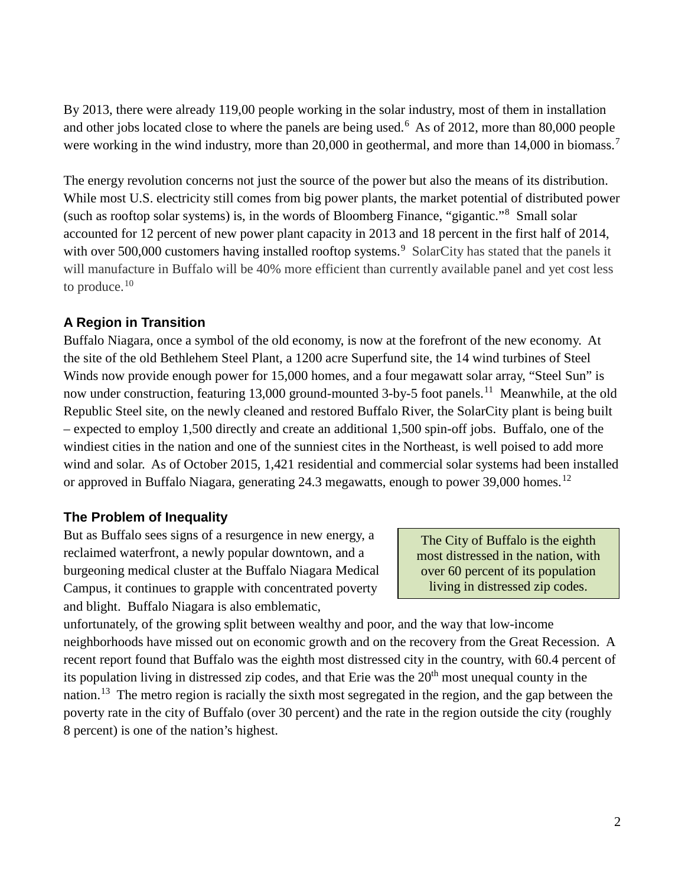By 2013, there were already 119,00 people working in the solar industry, most of them in installation and other jobs located close to where the panels are being used.<sup>[6](#page-7-5)</sup> As of 2012, more than 80,000 people were working in the wind industry, more than 20,000 in geothermal, and more than 14,000 in biomass.<sup>[7](#page-7-6)</sup>

The energy revolution concerns not just the source of the power but also the means of its distribution. While most U.S. electricity still comes from big power plants, the market potential of distributed power (such as rooftop solar systems) is, in the words of Bloomberg Finance, "gigantic."[8](#page-7-7) Small solar accounted for 12 percent of new power plant capacity in 2013 and 18 percent in the first half of 2014, with over 500,000 customers having installed rooftop systems.<sup>[9](#page-7-8)</sup> SolarCity has stated that the panels it will manufacture in Buffalo will be 40% more efficient than currently available panel and yet cost less to produce. $10$ 

## **A Region in Transition**

Buffalo Niagara, once a symbol of the old economy, is now at the forefront of the new economy. At the site of the old Bethlehem Steel Plant, a 1200 acre Superfund site, the 14 wind turbines of Steel Winds now provide enough power for 15,000 homes, and a four megawatt solar array, "Steel Sun" is now under construction, featuring 13,000 ground-mounted 3-by-5 foot panels.<sup>[11](#page-7-10)</sup> Meanwhile, at the old Republic Steel site, on the newly cleaned and restored Buffalo River, the SolarCity plant is being built – expected to employ 1,500 directly and create an additional 1,500 spin-off jobs. Buffalo, one of the windiest cities in the nation and one of the sunniest cites in the Northeast, is well poised to add more wind and solar. As of October 2015, 1,421 residential and commercial solar systems had been installed or approved in Buffalo Niagara, generating 24.3 megawatts, enough to power 39,000 homes.<sup>[12](#page-7-11)</sup>

## **The Problem of Inequality**

But as Buffalo sees signs of a resurgence in new energy, a reclaimed waterfront, a newly popular downtown, and a burgeoning medical cluster at the Buffalo Niagara Medical Campus, it continues to grapple with concentrated poverty and blight. Buffalo Niagara is also emblematic,

The City of Buffalo is the eighth most distressed in the nation, with over 60 percent of its population living in distressed zip codes.

unfortunately, of the growing split between wealthy and poor, and the way that low-income neighborhoods have missed out on economic growth and on the recovery from the Great Recession. A recent report found that Buffalo was the eighth most distressed city in the country, with 60.4 percent of its population living in distressed zip codes, and that Erie was the  $20<sup>th</sup>$  most unequal county in the nation.<sup>13</sup> The metro region is racially the sixth most segregated in the region, and the gap between the poverty rate in the city of Buffalo (over 30 percent) and the rate in the region outside the city (roughly 8 percent) is one of the nation's highest.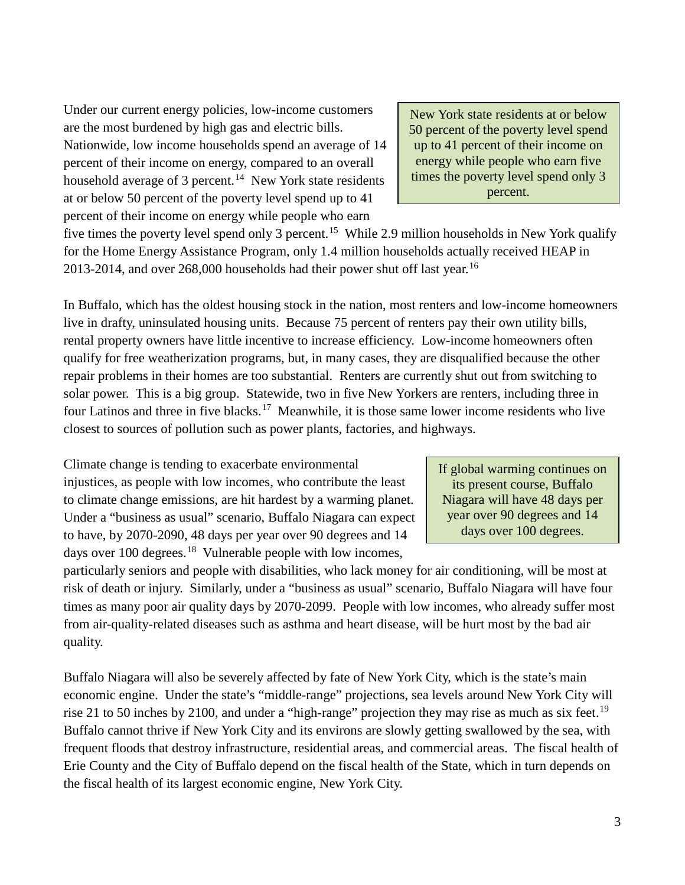Under our current energy policies, low-income customers are the most burdened by high gas and electric bills. Nationwide, low income households spend an average of 14 percent of their income on energy, compared to an overall household average of 3 percent.<sup>14</sup> New York state residents at or below 50 percent of the poverty level spend up to 41 percent of their income on energy while people who earn

New York state residents at or below 50 percent of the poverty level spend up to 41 percent of their income on energy while people who earn five times the poverty level spend only 3 percent.

five times the poverty level spend only 3 percent.<sup>15</sup> While 2.9 million households in New York qualify for the Home Energy Assistance Program, only 1.4 million households actually received HEAP in 2013-2014, and over 268,000 households had their power shut off last year.<sup>[16](#page-7-15)</sup>

In Buffalo, which has the oldest housing stock in the nation, most renters and low-income homeowners live in drafty, uninsulated housing units. Because 75 percent of renters pay their own utility bills, rental property owners have little incentive to increase efficiency. Low-income homeowners often qualify for free weatherization programs, but, in many cases, they are disqualified because the other repair problems in their homes are too substantial. Renters are currently shut out from switching to solar power. This is a big group. Statewide, two in five New Yorkers are renters, including three in four Latinos and three in five blacks.<sup>17</sup> Meanwhile, it is those same lower income residents who live closest to sources of pollution such as power plants, factories, and highways.

Climate change is tending to exacerbate environmental injustices, as people with low incomes, who contribute the least to climate change emissions, are hit hardest by a warming planet. Under a "business as usual" scenario, Buffalo Niagara can expect to have, by 2070-2090, 48 days per year over 90 degrees and 14 days over 100 degrees.<sup>18</sup> Vulnerable people with low incomes,

If global warming continues on its present course, Buffalo Niagara will have 48 days per year over 90 degrees and 14 days over 100 degrees.

particularly seniors and people with disabilities, who lack money for air conditioning, will be most at risk of death or injury. Similarly, under a "business as usual" scenario, Buffalo Niagara will have four times as many poor air quality days by 2070-2099. People with low incomes, who already suffer most from air-quality-related diseases such as asthma and heart disease, will be hurt most by the bad air quality.

Buffalo Niagara will also be severely affected by fate of New York City, which is the state's main economic engine. Under the state's "middle-range" projections, sea levels around New York City will rise 21 to 50 inches by 2100, and under a "high-range" projection they may rise as much as six feet.<sup>[19](#page-7-18)</sup> Buffalo cannot thrive if New York City and its environs are slowly getting swallowed by the sea, with frequent floods that destroy infrastructure, residential areas, and commercial areas. The fiscal health of Erie County and the City of Buffalo depend on the fiscal health of the State, which in turn depends on the fiscal health of its largest economic engine, New York City.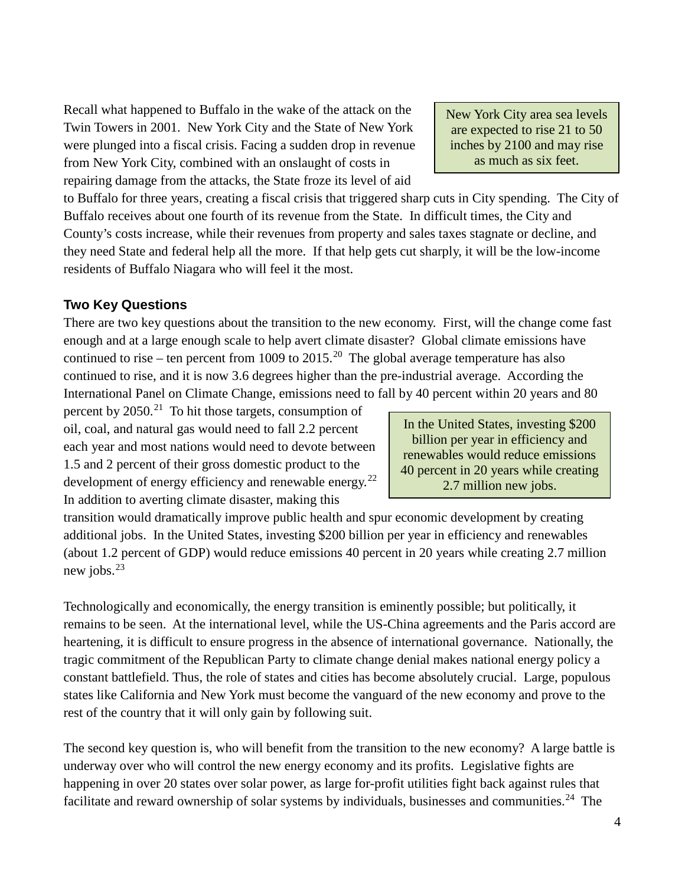Recall what happened to Buffalo in the wake of the attack on the Twin Towers in 2001. New York City and the State of New York were plunged into a fiscal crisis. Facing a sudden drop in revenue from New York City, combined with an onslaught of costs in repairing damage from the attacks, the State froze its level of aid

to Buffalo for three years, creating a fiscal crisis that triggered sharp cuts in City spending. The City of Buffalo receives about one fourth of its revenue from the State. In difficult times, the City and County's costs increase, while their revenues from property and sales taxes stagnate or decline, and they need State and federal help all the more. If that help gets cut sharply, it will be the low-income residents of Buffalo Niagara who will feel it the most.

### **Two Key Questions**

There are two key questions about the transition to the new economy. First, will the change come fast enough and at a large enough scale to help avert climate disaster? Global climate emissions have continued to rise – ten percent from 1009 to [20](#page-7-19)15.<sup>20</sup> The global average temperature has also continued to rise, and it is now 3.6 degrees higher than the pre-industrial average. According the International Panel on Climate Change, emissions need to fall by 40 percent within 20 years and 80

percent by  $2050$ .<sup>21</sup> To hit those targets, consumption of oil, coal, and natural gas would need to fall 2.2 percent each year and most nations would need to devote between 1.5 and 2 percent of their gross domestic product to the development of energy efficiency and renewable energy.<sup>[22](#page-7-21)</sup> In addition to averting climate disaster, making this

In the United States, investing \$200 billion per year in efficiency and renewables would reduce emissions 40 percent in 20 years while creating 2.7 million new jobs.

transition would dramatically improve public health and spur economic development by creating additional jobs. In the United States, investing \$200 billion per year in efficiency and renewables (about 1.2 percent of GDP) would reduce emissions 40 percent in 20 years while creating 2.7 million new jobs. $^{23}$ 

Technologically and economically, the energy transition is eminently possible; but politically, it remains to be seen. At the international level, while the US-China agreements and the Paris accord are heartening, it is difficult to ensure progress in the absence of international governance. Nationally, the tragic commitment of the Republican Party to climate change denial makes national energy policy a constant battlefield. Thus, the role of states and cities has become absolutely crucial. Large, populous states like California and New York must become the vanguard of the new economy and prove to the rest of the country that it will only gain by following suit.

The second key question is, who will benefit from the transition to the new economy? A large battle is underway over who will control the new energy economy and its profits. Legislative fights are happening in over 20 states over solar power, as large for-profit utilities fight back against rules that facilitate and reward ownership of solar systems by individuals, businesses and communities.<sup>24</sup> The

New York City area sea levels are expected to rise 21 to 50 inches by 2100 and may rise as much as six feet.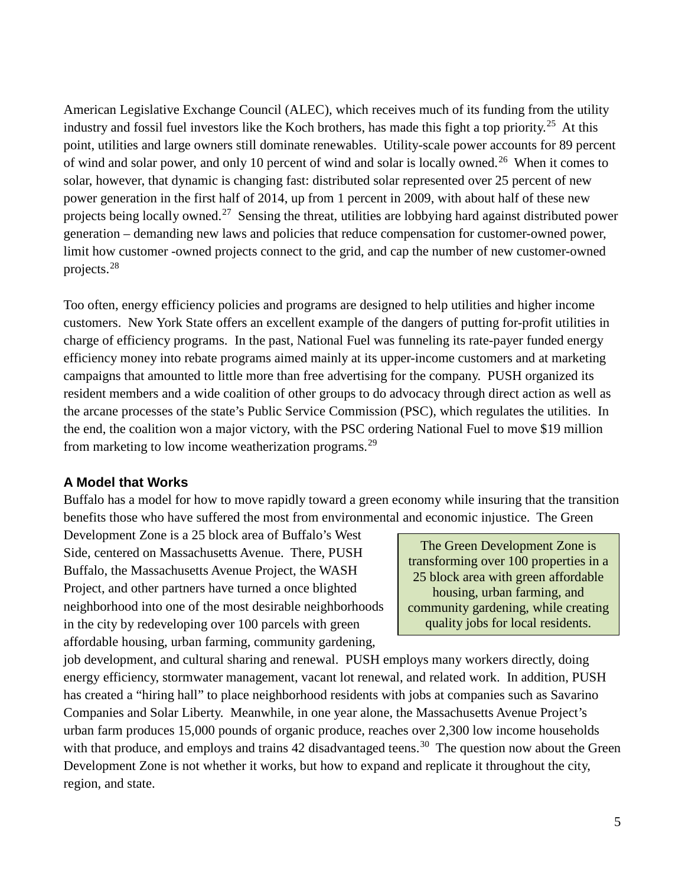American Legislative Exchange Council (ALEC), which receives much of its funding from the utility industry and fossil fuel investors like the Koch brothers, has made this fight a top priority.<sup>[25](#page-7-24)</sup> At this point, utilities and large owners still dominate renewables. Utility-scale power accounts for 89 percent of wind and solar power, and only 10 percent of wind and solar is locally owned.<sup>26</sup> When it comes to solar, however, that dynamic is changing fast: distributed solar represented over 25 percent of new power generation in the first half of 2014, up from 1 percent in 2009, with about half of these new projects being locally owned.<sup>27</sup> Sensing the threat, utilities are lobbying hard against distributed power generation – demanding new laws and policies that reduce compensation for customer-owned power, limit how customer -owned projects connect to the grid, and cap the number of new customer-owned projects.[28](#page-7-27) 

Too often, energy efficiency policies and programs are designed to help utilities and higher income customers. New York State offers an excellent example of the dangers of putting for-profit utilities in charge of efficiency programs. In the past, National Fuel was funneling its rate-payer funded energy efficiency money into rebate programs aimed mainly at its upper-income customers and at marketing campaigns that amounted to little more than free advertising for the company. PUSH organized its resident members and a wide coalition of other groups to do advocacy through direct action as well as the arcane processes of the state's Public Service Commission (PSC), which regulates the utilities. In the end, the coalition won a major victory, with the PSC ordering National Fuel to move \$19 million from marketing to low income weatherization programs.<sup>[29](#page-7-28)</sup>

#### **A Model that Works**

Buffalo has a model for how to move rapidly toward a green economy while insuring that the transition benefits those who have suffered the most from environmental and economic injustice. The Green

Development Zone is a 25 block area of Buffalo's West Side, centered on Massachusetts Avenue. There, PUSH Buffalo, the Massachusetts Avenue Project, the WASH Project, and other partners have turned a once blighted neighborhood into one of the most desirable neighborhoods in the city by redeveloping over 100 parcels with green affordable housing, urban farming, community gardening,

The Green Development Zone is transforming over 100 properties in a 25 block area with green affordable housing, urban farming, and community gardening, while creating quality jobs for local residents.

job development, and cultural sharing and renewal. PUSH employs many workers directly, doing energy efficiency, stormwater management, vacant lot renewal, and related work. In addition, PUSH has created a "hiring hall" to place neighborhood residents with jobs at companies such as Savarino Companies and Solar Liberty. Meanwhile, in one year alone, the Massachusetts Avenue Project's urban farm produces 15,000 pounds of organic produce, reaches over 2,300 low income households with that produce, and employs and trains 42 disadvantaged teens.<sup>30</sup> The question now about the Green Development Zone is not whether it works, but how to expand and replicate it throughout the city, region, and state.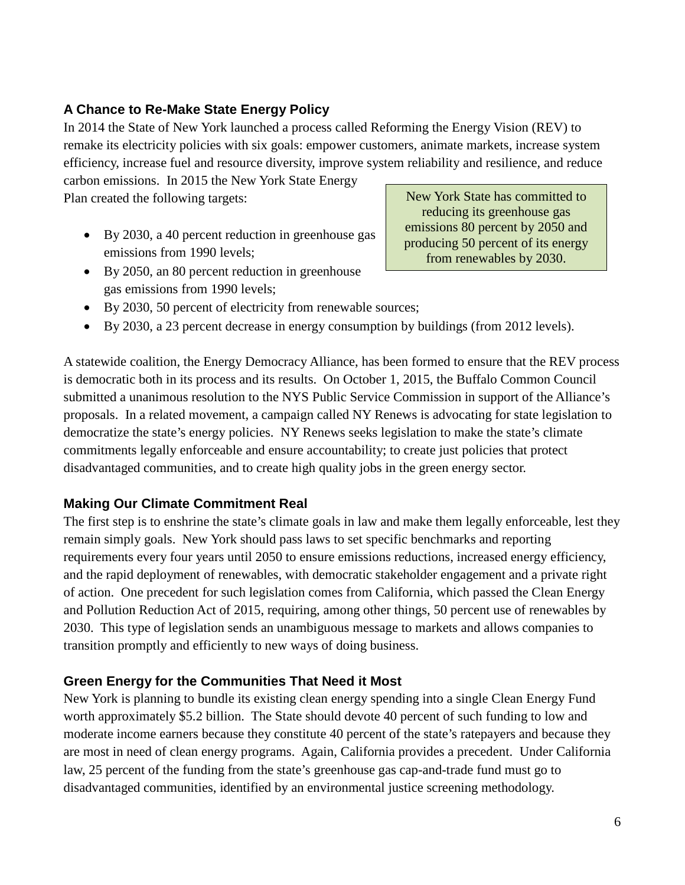## **A Chance to Re-Make State Energy Policy**

In 2014 the State of New York launched a process called Reforming the Energy Vision (REV) to remake its electricity policies with six goals: empower customers, animate markets, increase system efficiency, increase fuel and resource diversity, improve system reliability and resilience, and reduce

carbon emissions. In 2015 the New York State Energy Plan created the following targets:

• By 2030, a 40 percent reduction in greenhouse gas emissions from 1990 levels;

New York State has committed to reducing its greenhouse gas emissions 80 percent by 2050 and producing 50 percent of its energy from renewables by 2030.

- By 2050, an 80 percent reduction in greenhouse gas emissions from 1990 levels;
- By 2030, 50 percent of electricity from renewable sources;
- By 2030, a 23 percent decrease in energy consumption by buildings (from 2012 levels).

A statewide coalition, the Energy Democracy Alliance, has been formed to ensure that the REV process is democratic both in its process and its results. On October 1, 2015, the Buffalo Common Council submitted a unanimous resolution to the NYS Public Service Commission in support of the Alliance's proposals. In a related movement, a campaign called NY Renews is advocating for state legislation to democratize the state's energy policies. NY Renews seeks legislation to make the state's climate commitments legally enforceable and ensure accountability; to create just policies that protect disadvantaged communities, and to create high quality jobs in the green energy sector.

## **Making Our Climate Commitment Real**

The first step is to enshrine the state's climate goals in law and make them legally enforceable, lest they remain simply goals. New York should pass laws to set specific benchmarks and reporting requirements every four years until 2050 to ensure emissions reductions, increased energy efficiency, and the rapid deployment of renewables, with democratic stakeholder engagement and a private right of action. One precedent for such legislation comes from California, which passed the Clean Energy and Pollution Reduction Act of 2015, requiring, among other things, 50 percent use of renewables by 2030. This type of legislation sends an unambiguous message to markets and allows companies to transition promptly and efficiently to new ways of doing business.

## **Green Energy for the Communities That Need it Most**

New York is planning to bundle its existing clean energy spending into a single Clean Energy Fund worth approximately \$5.2 billion. The State should devote 40 percent of such funding to low and moderate income earners because they constitute 40 percent of the state's ratepayers and because they are most in need of clean energy programs. Again, California provides a precedent. Under California law, 25 percent of the funding from the state's greenhouse gas cap-and-trade fund must go to disadvantaged communities, identified by an environmental justice screening methodology.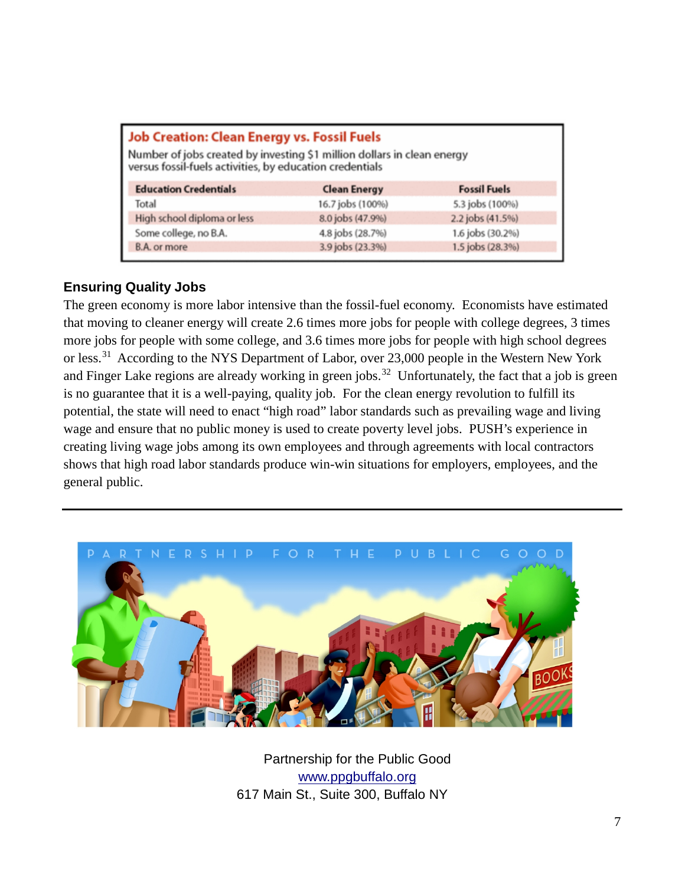| <b>Job Creation: Clean Energy vs. Fossil Fuels</b><br>Number of jobs created by investing \$1 million dollars in clean energy<br>versus fossil-fuels activities, by education credentials |                     |                     |
|-------------------------------------------------------------------------------------------------------------------------------------------------------------------------------------------|---------------------|---------------------|
| <b>Education Credentials</b>                                                                                                                                                              | <b>Clean Energy</b> | <b>Fossil Fuels</b> |
| Total                                                                                                                                                                                     | 16.7 jobs (100%)    | 5.3 jobs (100%)     |
| High school diploma or less                                                                                                                                                               | 8.0 jobs (47.9%)    | 2.2 jobs (41.5%)    |
| Some college, no B.A.                                                                                                                                                                     | 4.8 jobs (28.7%)    | 1.6 jobs (30.2%)    |
| B.A. or more                                                                                                                                                                              | 3.9 jobs (23.3%)    | 1.5 jobs (28.3%)    |

### **Ensuring Quality Jobs**

The green economy is more labor intensive than the fossil-fuel economy. Economists have estimated that moving to cleaner energy will create 2.6 times more jobs for people with college degrees, 3 times more jobs for people with some college, and 3.6 times more jobs for people with high school degrees or less.<sup>31</sup> According to the NYS Department of Labor, over 23,000 people in the Western New York and Finger Lake regions are already working in green jobs.<sup>32</sup> Unfortunately, the fact that a job is green is no guarantee that it is a well-paying, quality job. For the clean energy revolution to fulfill its potential, the state will need to enact "high road" labor standards such as prevailing wage and living wage and ensure that no public money is used to create poverty level jobs. PUSH's experience in creating living wage jobs among its own employees and through agreements with local contractors shows that high road labor standards produce win-win situations for employers, employees, and the general public.



Partnership for the Public Good [www.ppgbuffalo.org](http://www.ppgbuffalo.org/) 617 Main St., Suite 300, Buffalo NY